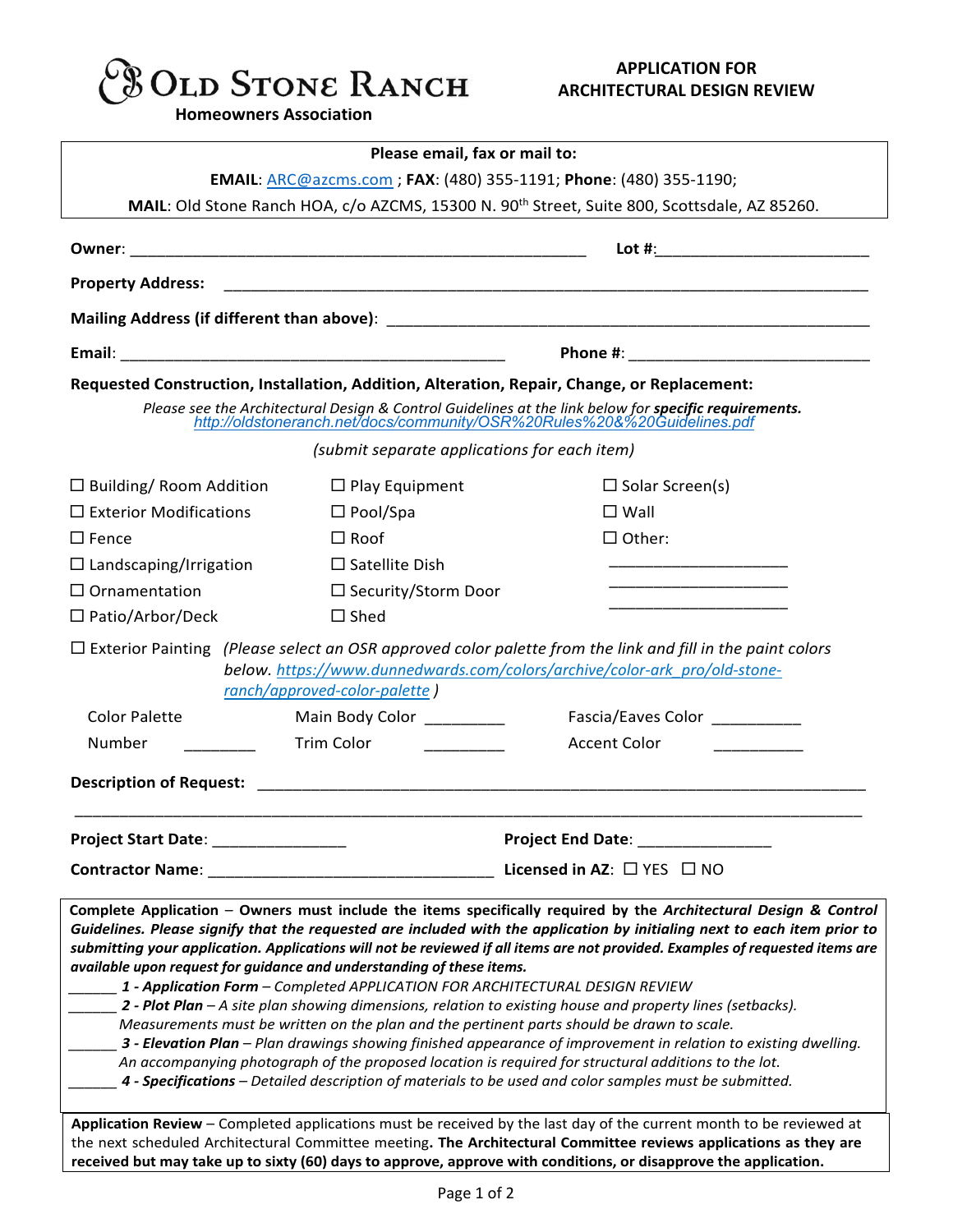

**Homeowners Association**

| Please email, fax or mail to:<br><b>EMAIL: ARC@azcms.com ; FAX: (480) 355-1191; Phone: (480) 355-1190;</b>                                                                                                                                                                                                                                                                                                                                                                                                                                                                                                                                                                                                                                                                                                                                                                                                                                                                                                                                                                                                                                                                                                             |                                      |                            |                                                                                                          |  |  |
|------------------------------------------------------------------------------------------------------------------------------------------------------------------------------------------------------------------------------------------------------------------------------------------------------------------------------------------------------------------------------------------------------------------------------------------------------------------------------------------------------------------------------------------------------------------------------------------------------------------------------------------------------------------------------------------------------------------------------------------------------------------------------------------------------------------------------------------------------------------------------------------------------------------------------------------------------------------------------------------------------------------------------------------------------------------------------------------------------------------------------------------------------------------------------------------------------------------------|--------------------------------------|----------------------------|----------------------------------------------------------------------------------------------------------|--|--|
|                                                                                                                                                                                                                                                                                                                                                                                                                                                                                                                                                                                                                                                                                                                                                                                                                                                                                                                                                                                                                                                                                                                                                                                                                        |                                      |                            | MAIL: Old Stone Ranch HOA, c/o AZCMS, 15300 N. 90 <sup>th</sup> Street, Suite 800, Scottsdale, AZ 85260. |  |  |
|                                                                                                                                                                                                                                                                                                                                                                                                                                                                                                                                                                                                                                                                                                                                                                                                                                                                                                                                                                                                                                                                                                                                                                                                                        |                                      |                            |                                                                                                          |  |  |
|                                                                                                                                                                                                                                                                                                                                                                                                                                                                                                                                                                                                                                                                                                                                                                                                                                                                                                                                                                                                                                                                                                                                                                                                                        |                                      |                            |                                                                                                          |  |  |
|                                                                                                                                                                                                                                                                                                                                                                                                                                                                                                                                                                                                                                                                                                                                                                                                                                                                                                                                                                                                                                                                                                                                                                                                                        |                                      |                            |                                                                                                          |  |  |
|                                                                                                                                                                                                                                                                                                                                                                                                                                                                                                                                                                                                                                                                                                                                                                                                                                                                                                                                                                                                                                                                                                                                                                                                                        |                                      |                            |                                                                                                          |  |  |
| Requested Construction, Installation, Addition, Alteration, Repair, Change, or Replacement:                                                                                                                                                                                                                                                                                                                                                                                                                                                                                                                                                                                                                                                                                                                                                                                                                                                                                                                                                                                                                                                                                                                            |                                      |                            |                                                                                                          |  |  |
| Please see the Architectural Design & Control Guidelines at the link below for specific requirements.<br>http://oldstoneranch.net/docs/community/OSR%20Rules%20&%20Guidelines.pdf                                                                                                                                                                                                                                                                                                                                                                                                                                                                                                                                                                                                                                                                                                                                                                                                                                                                                                                                                                                                                                      |                                      |                            |                                                                                                          |  |  |
| (submit separate applications for each item)                                                                                                                                                                                                                                                                                                                                                                                                                                                                                                                                                                                                                                                                                                                                                                                                                                                                                                                                                                                                                                                                                                                                                                           |                                      |                            |                                                                                                          |  |  |
|                                                                                                                                                                                                                                                                                                                                                                                                                                                                                                                                                                                                                                                                                                                                                                                                                                                                                                                                                                                                                                                                                                                                                                                                                        |                                      |                            |                                                                                                          |  |  |
| $\Box$ Building/ Room Addition                                                                                                                                                                                                                                                                                                                                                                                                                                                                                                                                                                                                                                                                                                                                                                                                                                                                                                                                                                                                                                                                                                                                                                                         |                                      | $\Box$ Play Equipment      | $\Box$ Solar Screen(s)                                                                                   |  |  |
| $\Box$ Exterior Modifications                                                                                                                                                                                                                                                                                                                                                                                                                                                                                                                                                                                                                                                                                                                                                                                                                                                                                                                                                                                                                                                                                                                                                                                          |                                      | $\Box$ Pool/Spa            | $\square$ Wall                                                                                           |  |  |
| $\Box$ Fence                                                                                                                                                                                                                                                                                                                                                                                                                                                                                                                                                                                                                                                                                                                                                                                                                                                                                                                                                                                                                                                                                                                                                                                                           |                                      | $\Box$ Roof                | $\Box$ Other:                                                                                            |  |  |
| $\Box$ Landscaping/Irrigation                                                                                                                                                                                                                                                                                                                                                                                                                                                                                                                                                                                                                                                                                                                                                                                                                                                                                                                                                                                                                                                                                                                                                                                          |                                      | $\Box$ Satellite Dish      | ______________________________                                                                           |  |  |
| $\Box$ Ornamentation                                                                                                                                                                                                                                                                                                                                                                                                                                                                                                                                                                                                                                                                                                                                                                                                                                                                                                                                                                                                                                                                                                                                                                                                   |                                      | $\Box$ Security/Storm Door |                                                                                                          |  |  |
| $\Box$ Patio/Arbor/Deck                                                                                                                                                                                                                                                                                                                                                                                                                                                                                                                                                                                                                                                                                                                                                                                                                                                                                                                                                                                                                                                                                                                                                                                                |                                      | $\Box$ Shed                |                                                                                                          |  |  |
| $\Box$ Exterior Painting (Please select an OSR approved color palette from the link and fill in the paint colors<br>below. https://www.dunnedwards.com/colors/archive/color-ark_pro/old-stone-<br>ranch/approved-color-palette)                                                                                                                                                                                                                                                                                                                                                                                                                                                                                                                                                                                                                                                                                                                                                                                                                                                                                                                                                                                        |                                      |                            |                                                                                                          |  |  |
| <b>Color Palette</b>                                                                                                                                                                                                                                                                                                                                                                                                                                                                                                                                                                                                                                                                                                                                                                                                                                                                                                                                                                                                                                                                                                                                                                                                   |                                      | Main Body Color _________  | Fascia/Eaves Color __________                                                                            |  |  |
| Number                                                                                                                                                                                                                                                                                                                                                                                                                                                                                                                                                                                                                                                                                                                                                                                                                                                                                                                                                                                                                                                                                                                                                                                                                 |                                      | Trim Color <u>Color</u>    | Accent Color                                                                                             |  |  |
|                                                                                                                                                                                                                                                                                                                                                                                                                                                                                                                                                                                                                                                                                                                                                                                                                                                                                                                                                                                                                                                                                                                                                                                                                        |                                      |                            |                                                                                                          |  |  |
| Project Start Date: ________________                                                                                                                                                                                                                                                                                                                                                                                                                                                                                                                                                                                                                                                                                                                                                                                                                                                                                                                                                                                                                                                                                                                                                                                   |                                      |                            | <b>Project End Date: _</b>                                                                               |  |  |
| <b>Contractor Name:</b>                                                                                                                                                                                                                                                                                                                                                                                                                                                                                                                                                                                                                                                                                                                                                                                                                                                                                                                                                                                                                                                                                                                                                                                                | Licensed in AZ: $\Box$ YES $\Box$ NO |                            |                                                                                                          |  |  |
| Complete Application - Owners must include the items specifically required by the Architectural Design & Control<br>Guidelines. Please signify that the requested are included with the application by initialing next to each item prior to<br>submitting your application. Applications will not be reviewed if all items are not provided. Examples of requested items are<br>available upon request for guidance and understanding of these items.<br>1 - Application Form – Completed APPLICATION FOR ARCHITECTURAL DESIGN REVIEW<br><b>2 - Plot Plan</b> – A site plan showing dimensions, relation to existing house and property lines (setbacks).<br>Measurements must be written on the plan and the pertinent parts should be drawn to scale.<br>_ 3 - Elevation Plan – Plan drawings showing finished appearance of improvement in relation to existing dwelling.<br>An accompanying photograph of the proposed location is required for structural additions to the lot.<br>4 - Specifications - Detailed description of materials to be used and color samples must be submitted.<br>Application Review - Completed applications must be received by the last day of the current month to be reviewed at |                                      |                            |                                                                                                          |  |  |
| the next scheduled Architectural Committee meeting. The Architectural Committee reviews applications as they are<br>received but may take up to sixty (60) days to approve, approve with conditions, or disapprove the application.                                                                                                                                                                                                                                                                                                                                                                                                                                                                                                                                                                                                                                                                                                                                                                                                                                                                                                                                                                                    |                                      |                            |                                                                                                          |  |  |